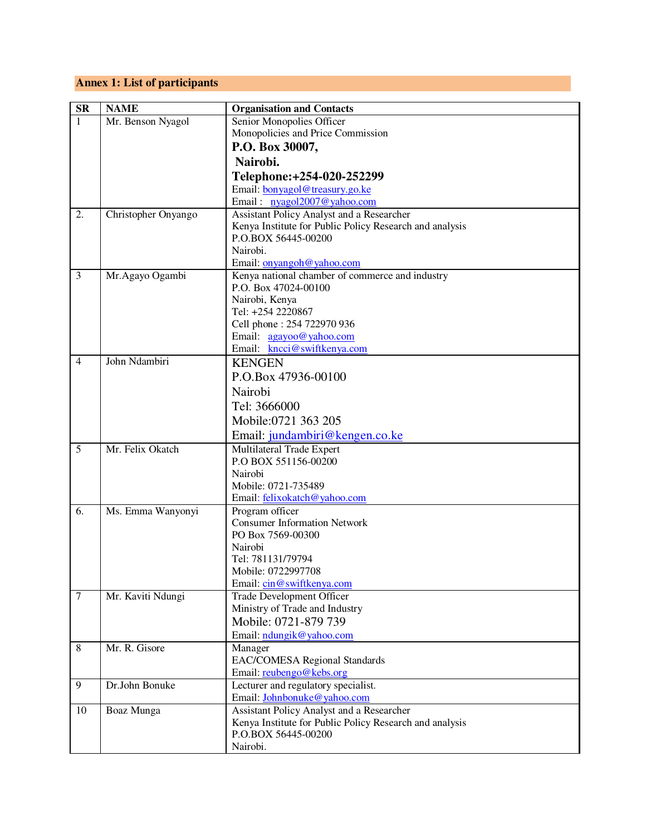## **Annex 1: List of participants**

| <b>SR</b>      | <b>NAME</b>         | <b>Organisation and Contacts</b>                                                                     |
|----------------|---------------------|------------------------------------------------------------------------------------------------------|
| 1              | Mr. Benson Nyagol   | Senior Monopolies Officer                                                                            |
|                |                     | Monopolicies and Price Commission                                                                    |
|                |                     | P.O. Box 30007,                                                                                      |
|                |                     | Nairobi.                                                                                             |
|                |                     |                                                                                                      |
|                |                     | Telephone: +254-020-252299                                                                           |
|                |                     | Email: bonyagol@treasury.go.ke<br>Email: nyagol2007@yahoo.com                                        |
| 2.             |                     |                                                                                                      |
|                | Christopher Onyango | Assistant Policy Analyst and a Researcher<br>Kenya Institute for Public Policy Research and analysis |
|                |                     | P.O.BOX 56445-00200                                                                                  |
|                |                     | Nairobi.                                                                                             |
|                |                     | Email: onyangoh@yahoo.com                                                                            |
| 3              | Mr.Agayo Ogambi     | Kenya national chamber of commerce and industry                                                      |
|                |                     | P.O. Box 47024-00100                                                                                 |
|                |                     | Nairobi, Kenya                                                                                       |
|                |                     | Tel: +254 2220867                                                                                    |
|                |                     | Cell phone: 254 722970 936                                                                           |
|                |                     | Email: <u>agayoo@yahoo.com</u>                                                                       |
|                |                     | Email: kncci@swiftkenya.com                                                                          |
| $\overline{4}$ | John Ndambiri       | <b>KENGEN</b>                                                                                        |
|                |                     | P.O.Box 47936-00100                                                                                  |
|                |                     | Nairobi                                                                                              |
|                |                     | Tel: 3666000                                                                                         |
|                |                     | Mobile:0721 363 205                                                                                  |
|                |                     |                                                                                                      |
|                |                     | Email: jundambiri@kengen.co.ke                                                                       |
| 5              | Mr. Felix Okatch    | Multilateral Trade Expert<br>P.O BOX 551156-00200                                                    |
|                |                     | Nairobi                                                                                              |
|                |                     | Mobile: 0721-735489                                                                                  |
|                |                     | Email: felixokatch@yahoo.com                                                                         |
| 6.             | Ms. Emma Wanyonyi   | Program officer                                                                                      |
|                |                     | <b>Consumer Information Network</b>                                                                  |
|                |                     | PO Box 7569-00300                                                                                    |
|                |                     | Nairobi                                                                                              |
|                |                     | Tel: 781131/79794                                                                                    |
|                |                     | Mobile: 0722997708                                                                                   |
|                |                     | Email: cin@swiftkenya.com                                                                            |
| $\overline{7}$ | Mr. Kaviti Ndungi   | <b>Trade Development Officer</b>                                                                     |
|                |                     | Ministry of Trade and Industry                                                                       |
|                |                     | Mobile: 0721-879 739                                                                                 |
|                |                     | Email: ndungik@yahoo.com                                                                             |
| $\,8\,$        | Mr. R. Gisore       | Manager                                                                                              |
|                |                     | <b>EAC/COMESA Regional Standards</b>                                                                 |
|                |                     | Email: reubengo@kebs.org                                                                             |
| 9              | Dr.John Bonuke      | Lecturer and regulatory specialist.                                                                  |
|                |                     | Email: Johnbonuke@yahoo.com                                                                          |
| 10             | Boaz Munga          | Assistant Policy Analyst and a Researcher                                                            |
|                |                     | Kenya Institute for Public Policy Research and analysis                                              |
|                |                     | P.O.BOX 56445-00200                                                                                  |
|                |                     | Nairobi.                                                                                             |